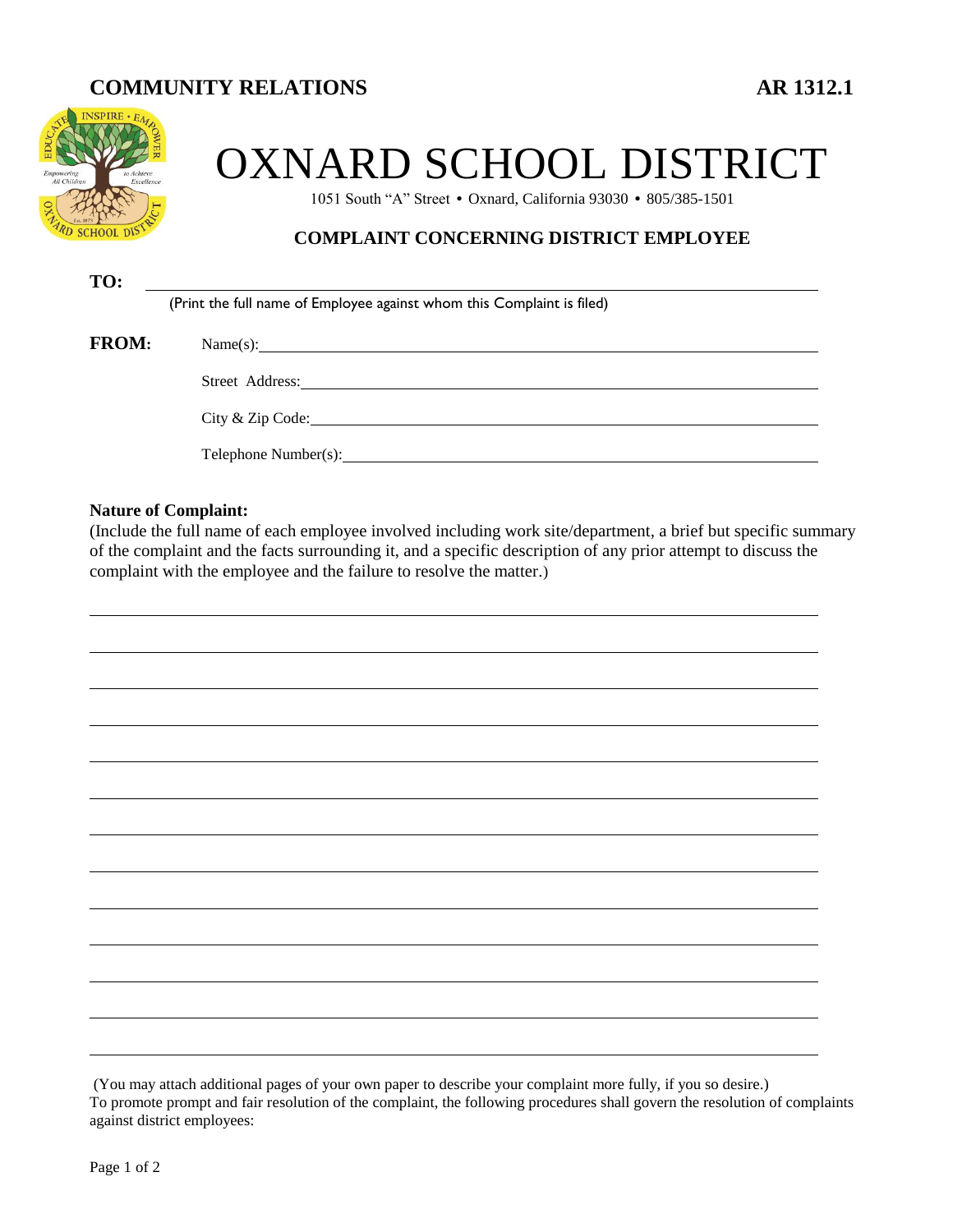# **COMMUNITY RELATIONS AR 1312.1**



# OXNARD SCHOOL DISTRICT

1051 South "A" Street • Oxnard, California 93030 • 805/385-1501

## **COMPLAINT CONCERNING DISTRICT EMPLOYEE**

| TO:          |                                                                                                                                                                                                                                |
|--------------|--------------------------------------------------------------------------------------------------------------------------------------------------------------------------------------------------------------------------------|
|              | (Print the full name of Employee against whom this Complaint is filed)                                                                                                                                                         |
| <b>FROM:</b> | Name(s):                                                                                                                                                                                                                       |
|              | Street Address: the contract of the contract of the contract of the contract of the contract of the contract of the contract of the contract of the contract of the contract of the contract of the contract of the contract o |
|              | City & Zip Code: New York City & Zip Code:                                                                                                                                                                                     |
|              | Telephone Number(s):                                                                                                                                                                                                           |

#### **Nature of Complaint:**

(Include the full name of each employee involved including work site/department, a brief but specific summary of the complaint and the facts surrounding it, and a specific description of any prior attempt to discuss the complaint with the employee and the failure to resolve the matter.)

(You may attach additional pages of your own paper to describe your complaint more fully, if you so desire.) To promote prompt and fair resolution of the complaint, the following procedures shall govern the resolution of complaints against district employees: